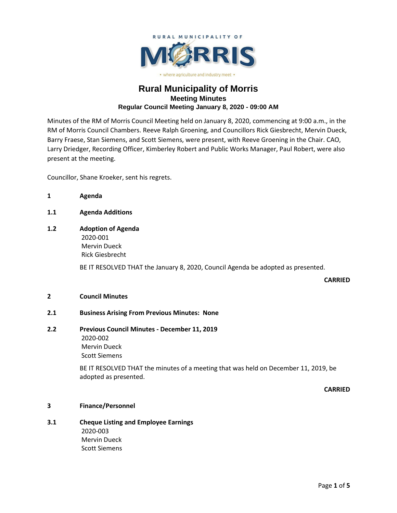

# **Rural Municipality of Morris Meeting Minutes Regular Council Meeting January 8, 2020 - 09:00 AM**

Minutes of the RM of Morris Council Meeting held on January 8, 2020, commencing at 9:00 a.m., in the RM of Morris Council Chambers. Reeve Ralph Groening, and Councillors Rick Giesbrecht, Mervin Dueck, Barry Fraese, Stan Siemens, and Scott Siemens, were present, with Reeve Groening in the Chair. CAO, Larry Driedger, Recording Officer, Kimberley Robert and Public Works Manager, Paul Robert, were also present at the meeting.

Councillor, Shane Kroeker, sent his regrets.

- **1 Agenda**
- **1.1 Agenda Additions**
- **1.2 Adoption of Agenda** 2020-001 Mervin Dueck Rick Giesbrecht

BE IT RESOLVED THAT the January 8, 2020, Council Agenda be adopted as presented.

**CARRIED**

### **2 Council Minutes**

### **2.1 Business Arising From Previous Minutes: None**

**2.2 Previous Council Minutes - December 11, 2019** 2020-002 Mervin Dueck Scott Siemens

> BE IT RESOLVED THAT the minutes of a meeting that was held on December 11, 2019, be adopted as presented.

> > **CARRIED**

# **3 Finance/Personnel**

**3.1 Cheque Listing and Employee Earnings** 2020-003 Mervin Dueck Scott Siemens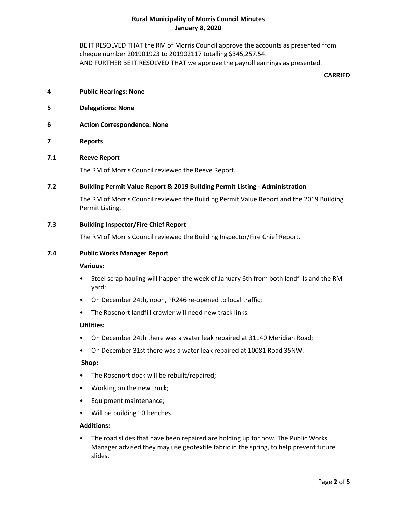BE IT RESOLVED THAT the RM of Morris Council approve the accounts as presented from cheque number 201901923 to 201902117 totalling \$345,257.54. AND FURTHER BE IT RESOLVED THAT we approve the payroll earnings as presented.

#### **CARRIED**

- **4 Public Hearings: None**
- **5 Delegations: None**
- **6 Action Correspondence: None**
- **7 Reports**

### **7.1 Reeve Report**

The RM of Morris Council reviewed the Reeve Report.

### **7.2 Building Permit Value Report & 2019 Building Permit Listing - Administration**

The RM of Morris Council reviewed the Building Permit Value Report and the 2019 Building Permit Listing.

### **7.3 Building Inspector/Fire Chief Report**

The RM of Morris Council reviewed the Building Inspector/Fire Chief Report.

#### **7.4 Public Works Manager Report**

#### **Various:**

- Steel scrap hauling will happen the week of January 6th from both landfills and the RM yard;
- On December 24th, noon, PR246 re-opened to local traffic;
- The Rosenort landfill crawler will need new track links.

#### **Utilities:**

- On December 24th there was a water leak repaired at 31140 Meridian Road;
- On December 31st there was a water leak repaired at 10081 Road 35NW.

#### **Shop:**

- The Rosenort dock will be rebuilt/repaired;
- Working on the new truck;
- Equipment maintenance;
- Will be building 10 benches.

### **Additions:**

• The road slides that have been repaired are holding up for now. The Public Works Manager advised they may use geotextile fabric in the spring, to help prevent future slides.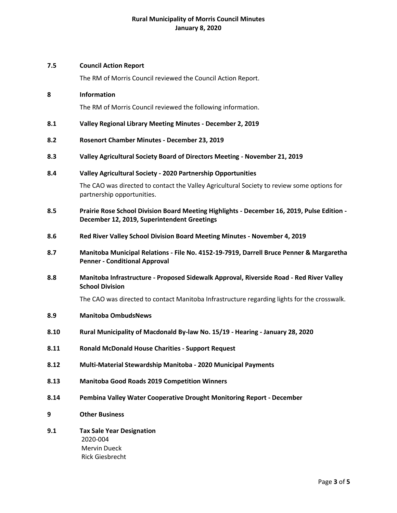### **7.5 Council Action Report**

The RM of Morris Council reviewed the Council Action Report.

### **8 Information**

The RM of Morris Council reviewed the following information.

- **8.1 Valley Regional Library Meeting Minutes - December 2, 2019**
- **8.2 Rosenort Chamber Minutes - December 23, 2019**
- **8.3 Valley Agricultural Society Board of Directors Meeting - November 21, 2019**

### **8.4 Valley Agricultural Society - 2020 Partnership Opportunities**

The CAO was directed to contact the Valley Agricultural Society to review some options for partnership opportunities.

- **8.5 Prairie Rose School Division Board Meeting Highlights - December 16, 2019, Pulse Edition - December 12, 2019, Superintendent Greetings**
- **8.6 Red River Valley School Division Board Meeting Minutes - November 4, 2019**
- **8.7 Manitoba Municipal Relations - File No. 4152-19-7919, Darrell Bruce Penner & Margaretha Penner - Conditional Approval**
- **8.8 Manitoba Infrastructure - Proposed Sidewalk Approval, Riverside Road - Red River Valley School Division**

The CAO was directed to contact Manitoba Infrastructure regarding lights for the crosswalk.

- **8.9 Manitoba OmbudsNews**
- **8.10 Rural Municipality of Macdonald By-law No. 15/19 - Hearing - January 28, 2020**
- **8.11 Ronald McDonald House Charities - Support Request**
- **8.12 Multi-Material Stewardship Manitoba - 2020 Municipal Payments**
- **8.13 Manitoba Good Roads 2019 Competition Winners**
- **8.14 Pembina Valley Water Cooperative Drought Monitoring Report - December**
- **9 Other Business**
- **9.1 Tax Sale Year Designation** 2020-004 Mervin Dueck Rick Giesbrecht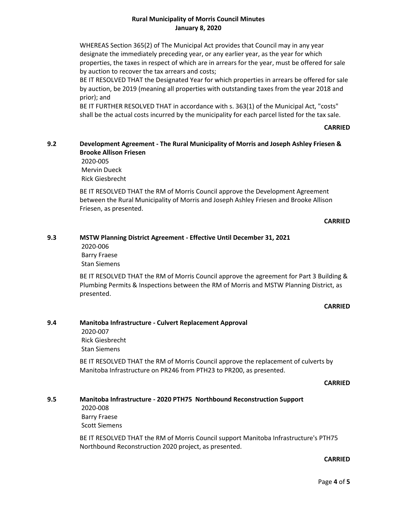WHEREAS Section 365(2) of The Municipal Act provides that Council may in any year designate the immediately preceding year, or any earlier year, as the year for which properties, the taxes in respect of which are in arrears for the year, must be offered for sale by auction to recover the tax arrears and costs;

BE IT RESOLVED THAT the Designated Year for which properties in arrears be offered for sale by auction, be 2019 (meaning all properties with outstanding taxes from the year 2018 and prior); and

BE IT FURTHER RESOLVED THAT in accordance with s. 363(1) of the Municipal Act, "costs" shall be the actual costs incurred by the municipality for each parcel listed for the tax sale.

### **CARRIED**

# **9.2 Development Agreement - The Rural Municipality of Morris and Joseph Ashley Friesen & Brooke Allison Friesen**

2020-005 Mervin Dueck Rick Giesbrecht

BE IT RESOLVED THAT the RM of Morris Council approve the Development Agreement between the Rural Municipality of Morris and Joseph Ashley Friesen and Brooke Allison Friesen, as presented.

### **CARRIED**

#### **9.3 MSTW Planning District Agreement - Effective Until December 31, 2021**

2020-006 Barry Fraese Stan Siemens

BE IT RESOLVED THAT the RM of Morris Council approve the agreement for Part 3 Building & Plumbing Permits & Inspections between the RM of Morris and MSTW Planning District, as presented.

### **CARRIED**

### **9.4 Manitoba Infrastructure - Culvert Replacement Approval**

2020-007 Rick Giesbrecht Stan Siemens

BE IT RESOLVED THAT the RM of Morris Council approve the replacement of culverts by Manitoba Infrastructure on PR246 from PTH23 to PR200, as presented.

#### **CARRIED**

# **9.5 Manitoba Infrastructure - 2020 PTH75 Northbound Reconstruction Support**

2020-008 Barry Fraese Scott Siemens

BE IT RESOLVED THAT the RM of Morris Council support Manitoba Infrastructure's PTH75 Northbound Reconstruction 2020 project, as presented.

### **CARRIED**